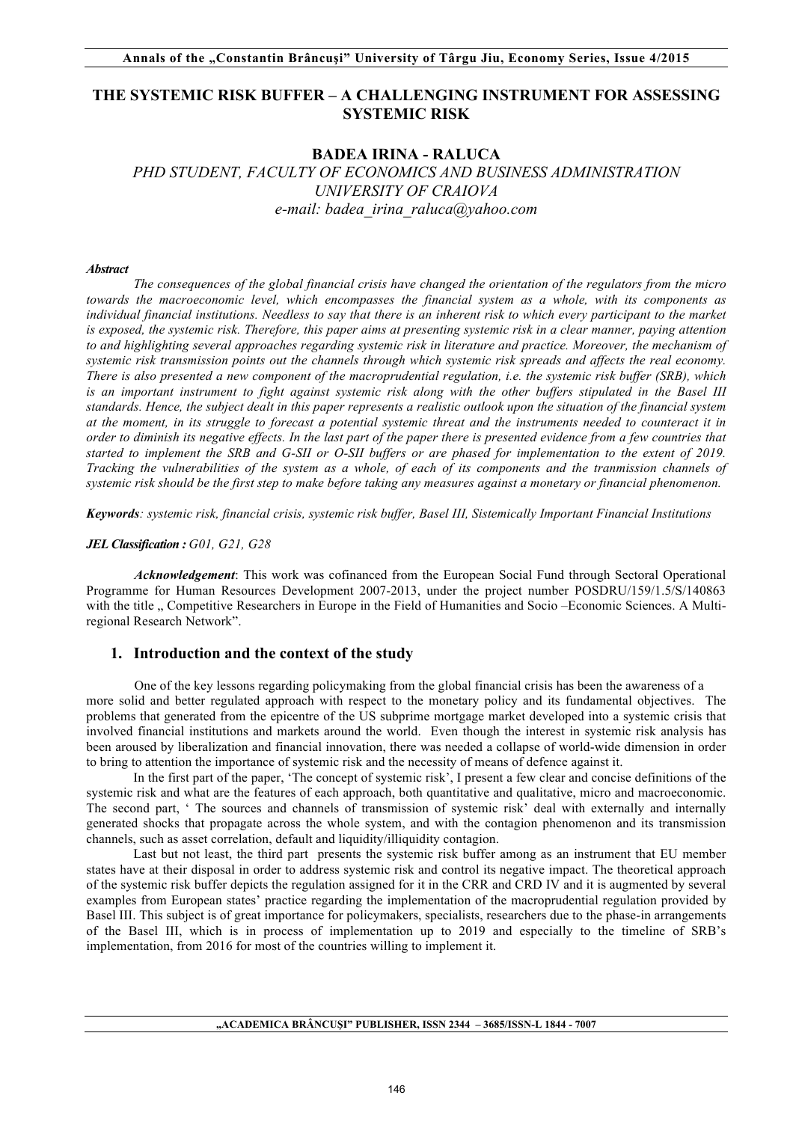# **THE SYSTEMIC RISK BUFFER – A CHALLENGING INSTRUMENT FOR ASSESSING SYSTEMIC RISK**

# **BADEA IRINA - RALUCA**  *PHD STUDENT, FACULTY OF ECONOMICS AND BUSINESS ADMINISTRATION UNIVERSITY OF CRAIOVA e-mail: badea\_irina\_raluca@yahoo.com*

#### *Abstract*

*The consequences of the global financial crisis have changed the orientation of the regulators from the micro towards the macroeconomic level, which encompasses the financial system as a whole, with its components as individual financial institutions. Needless to say that there is an inherent risk to which every participant to the market is exposed, the systemic risk. Therefore, this paper aims at presenting systemic risk in a clear manner, paying attention to and highlighting several approaches regarding systemic risk in literature and practice. Moreover, the mechanism of systemic risk transmission points out the channels through which systemic risk spreads and affects the real economy. There is also presented a new component of the macroprudential regulation, i.e. the systemic risk buffer (SRB), which is an important instrument to fight against systemic risk along with the other buffers stipulated in the Basel III standards. Hence, the subject dealt in this paper represents a realistic outlook upon the situation of the financial system at the moment, in its struggle to forecast a potential systemic threat and the instruments needed to counteract it in order to diminish its negative effects. In the last part of the paper there is presented evidence from a few countries that started to implement the SRB and G-SII or O-SII buffers or are phased for implementation to the extent of 2019. Tracking the vulnerabilities of the system as a whole, of each of its components and the tranmission channels of systemic risk should be the first step to make before taking any measures against a monetary or financial phenomenon.*

*Keywords: systemic risk, financial crisis, systemic risk buffer, Basel III, Sistemically Important Financial Institutions*

#### *JEL Classification : G01, G21, G28*

*Acknowledgement*: This work was cofinanced from the European Social Fund through Sectoral Operational Programme for Human Resources Development 2007-2013, under the project number POSDRU/159/1.5/S/140863 with the title ... Competitive Researchers in Europe in the Field of Humanities and Socio –Economic Sciences. A Multiregional Research Network".

## **1. Introduction and the context of the study**

One of the key lessons regarding policymaking from the global financial crisis has been the awareness of a more solid and better regulated approach with respect to the monetary policy and its fundamental objectives. The problems that generated from the epicentre of the US subprime mortgage market developed into a systemic crisis that involved financial institutions and markets around the world. Even though the interest in systemic risk analysis has been aroused by liberalization and financial innovation, there was needed a collapse of world-wide dimension in order to bring to attention the importance of systemic risk and the necessity of means of defence against it.

In the first part of the paper, 'The concept of systemic risk', I present a few clear and concise definitions of the systemic risk and what are the features of each approach, both quantitative and qualitative, micro and macroeconomic. The second part, ' The sources and channels of transmission of systemic risk' deal with externally and internally generated shocks that propagate across the whole system, and with the contagion phenomenon and its transmission channels, such as asset correlation, default and liquidity/illiquidity contagion.

Last but not least, the third part presents the systemic risk buffer among as an instrument that EU member states have at their disposal in order to address systemic risk and control its negative impact. The theoretical approach of the systemic risk buffer depicts the regulation assigned for it in the CRR and CRD IV and it is augmented by several examples from European states' practice regarding the implementation of the macroprudential regulation provided by Basel III. This subject is of great importance for policymakers, specialists, researchers due to the phase-in arrangements of the Basel III, which is in process of implementation up to 2019 and especially to the timeline of SRB's implementation, from 2016 for most of the countries willing to implement it.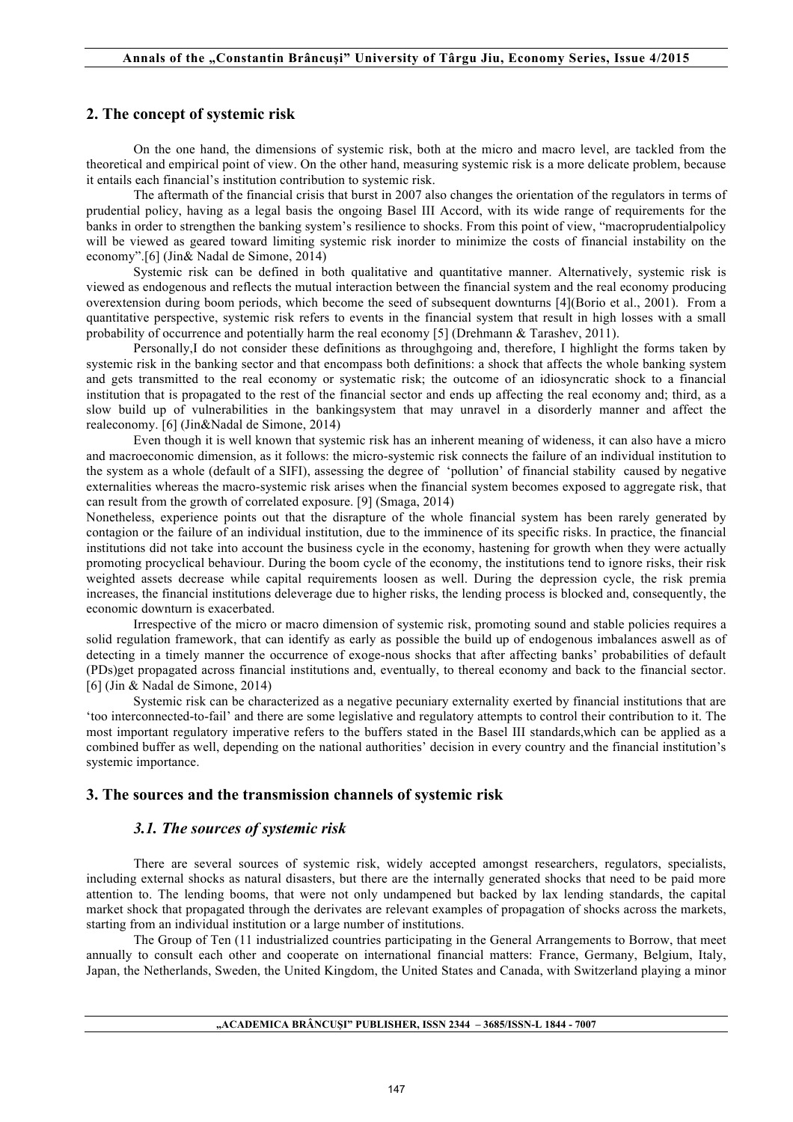## **2. The concept of systemic risk**

On the one hand, the dimensions of systemic risk, both at the micro and macro level, are tackled from the theoretical and empirical point of view. On the other hand, measuring systemic risk is a more delicate problem, because it entails each financial's institution contribution to systemic risk.

The aftermath of the financial crisis that burst in 2007 also changes the orientation of the regulators in terms of prudential policy, having as a legal basis the ongoing Basel III Accord, with its wide range of requirements for the banks in order to strengthen the banking system's resilience to shocks. From this point of view, "macroprudentialpolicy will be viewed as geared toward limiting systemic risk inorder to minimize the costs of financial instability on the economy".[6] (Jin& Nadal de Simone, 2014)

Systemic risk can be defined in both qualitative and quantitative manner. Alternatively, systemic risk is viewed as endogenous and reflects the mutual interaction between the financial system and the real economy producing overextension during boom periods, which become the seed of subsequent downturns [4](Borio et al., 2001). From a quantitative perspective, systemic risk refers to events in the financial system that result in high losses with a small probability of occurrence and potentially harm the real economy [5] (Drehmann & Tarashev, 2011).

Personally,I do not consider these definitions as throughgoing and, therefore, I highlight the forms taken by systemic risk in the banking sector and that encompass both definitions: a shock that affects the whole banking system and gets transmitted to the real economy or systematic risk; the outcome of an idiosyncratic shock to a financial institution that is propagated to the rest of the financial sector and ends up affecting the real economy and; third, as a slow build up of vulnerabilities in the bankingsystem that may unravel in a disorderly manner and affect the realeconomy. [6] (Jin&Nadal de Simone, 2014)

Even though it is well known that systemic risk has an inherent meaning of wideness, it can also have a micro and macroeconomic dimension, as it follows: the micro-systemic risk connects the failure of an individual institution to the system as a whole (default of a SIFI), assessing the degree of 'pollution' of financial stability caused by negative externalities whereas the macro-systemic risk arises when the financial system becomes exposed to aggregate risk, that can result from the growth of correlated exposure. [9] (Smaga, 2014)

Nonetheless, experience points out that the disrapture of the whole financial system has been rarely generated by contagion or the failure of an individual institution, due to the imminence of its specific risks. In practice, the financial institutions did not take into account the business cycle in the economy, hastening for growth when they were actually promoting procyclical behaviour. During the boom cycle of the economy, the institutions tend to ignore risks, their risk weighted assets decrease while capital requirements loosen as well. During the depression cycle, the risk premia increases, the financial institutions deleverage due to higher risks, the lending process is blocked and, consequently, the economic downturn is exacerbated.

Irrespective of the micro or macro dimension of systemic risk, promoting sound and stable policies requires a solid regulation framework, that can identify as early as possible the build up of endogenous imbalances aswell as of detecting in a timely manner the occurrence of exoge-nous shocks that after affecting banks' probabilities of default (PDs)get propagated across financial institutions and, eventually, to thereal economy and back to the financial sector. [6] (Jin & Nadal de Simone, 2014)

Systemic risk can be characterized as a negative pecuniary externality exerted by financial institutions that are 'too interconnected-to-fail' and there are some legislative and regulatory attempts to control their contribution to it. The most important regulatory imperative refers to the buffers stated in the Basel III standards,which can be applied as a combined buffer as well, depending on the national authorities' decision in every country and the financial institution's systemic importance.

## **3. The sources and the transmission channels of systemic risk**

## *3.1. The sources of systemic risk*

There are several sources of systemic risk, widely accepted amongst researchers, regulators, specialists, including external shocks as natural disasters, but there are the internally generated shocks that need to be paid more attention to. The lending booms, that were not only undampened but backed by lax lending standards, the capital market shock that propagated through the derivates are relevant examples of propagation of shocks across the markets, starting from an individual institution or a large number of institutions.

The Group of Ten (11 industrialized countries participating in the General Arrangements to Borrow, that meet annually to consult each other and cooperate on international financial matters: France, Germany, Belgium, Italy, Japan, the Netherlands, Sweden, the United Kingdom, the United States and Canada, with Switzerland playing a minor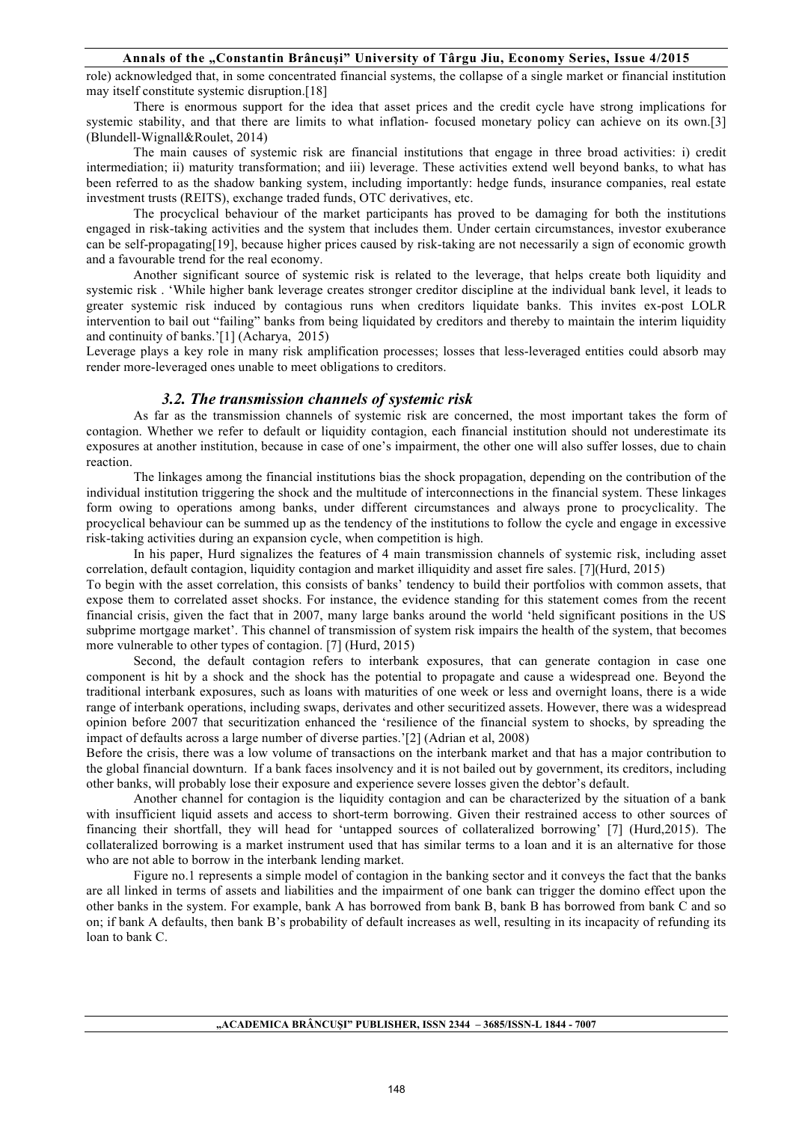### **Annals of the "Constantin Brâncuşi" University of Târgu Jiu, Economy Series, Issue 4/2015**

role) acknowledged that, in some concentrated financial systems, the collapse of a single market or financial institution may itself constitute systemic disruption.[18]

There is enormous support for the idea that asset prices and the credit cycle have strong implications for systemic stability, and that there are limits to what inflation- focused monetary policy can achieve on its own.[3] (Blundell-Wignall&Roulet, 2014)

The main causes of systemic risk are financial institutions that engage in three broad activities: i) credit intermediation; ii) maturity transformation; and iii) leverage. These activities extend well beyond banks, to what has been referred to as the shadow banking system, including importantly: hedge funds, insurance companies, real estate investment trusts (REITS), exchange traded funds, OTC derivatives, etc.

The procyclical behaviour of the market participants has proved to be damaging for both the institutions engaged in risk-taking activities and the system that includes them. Under certain circumstances, investor exuberance can be self-propagating[19], because higher prices caused by risk-taking are not necessarily a sign of economic growth and a favourable trend for the real economy.

Another significant source of systemic risk is related to the leverage, that helps create both liquidity and systemic risk . 'While higher bank leverage creates stronger creditor discipline at the individual bank level, it leads to greater systemic risk induced by contagious runs when creditors liquidate banks. This invites ex-post LOLR intervention to bail out "failing" banks from being liquidated by creditors and thereby to maintain the interim liquidity and continuity of banks.'[1] (Acharya, 2015)

Leverage plays a key role in many risk amplification processes; losses that less-leveraged entities could absorb may render more-leveraged ones unable to meet obligations to creditors.

## *3.2. The transmission channels of systemic risk*

As far as the transmission channels of systemic risk are concerned, the most important takes the form of contagion. Whether we refer to default or liquidity contagion, each financial institution should not underestimate its exposures at another institution, because in case of one's impairment, the other one will also suffer losses, due to chain reaction.

 The linkages among the financial institutions bias the shock propagation, depending on the contribution of the individual institution triggering the shock and the multitude of interconnections in the financial system. These linkages form owing to operations among banks, under different circumstances and always prone to procyclicality. The procyclical behaviour can be summed up as the tendency of the institutions to follow the cycle and engage in excessive risk-taking activities during an expansion cycle, when competition is high.

In his paper, Hurd signalizes the features of 4 main transmission channels of systemic risk, including asset correlation, default contagion, liquidity contagion and market illiquidity and asset fire sales. [7](Hurd, 2015) To begin with the asset correlation, this consists of banks' tendency to build their portfolios with common assets, that expose them to correlated asset shocks. For instance, the evidence standing for this statement comes from the recent

financial crisis, given the fact that in 2007, many large banks around the world 'held significant positions in the US subprime mortgage market'. This channel of transmission of system risk impairs the health of the system, that becomes more vulnerable to other types of contagion. [7] (Hurd, 2015)

Second, the default contagion refers to interbank exposures, that can generate contagion in case one component is hit by a shock and the shock has the potential to propagate and cause a widespread one. Beyond the traditional interbank exposures, such as loans with maturities of one week or less and overnight loans, there is a wide range of interbank operations, including swaps, derivates and other securitized assets. However, there was a widespread opinion before 2007 that securitization enhanced the 'resilience of the financial system to shocks, by spreading the impact of defaults across a large number of diverse parties.'[2] (Adrian et al, 2008)

Before the crisis, there was a low volume of transactions on the interbank market and that has a major contribution to the global financial downturn. If a bank faces insolvency and it is not bailed out by government, its creditors, including other banks, will probably lose their exposure and experience severe losses given the debtor's default.

Another channel for contagion is the liquidity contagion and can be characterized by the situation of a bank with insufficient liquid assets and access to short-term borrowing. Given their restrained access to other sources of financing their shortfall, they will head for 'untapped sources of collateralized borrowing' [7] (Hurd,2015). The collateralized borrowing is a market instrument used that has similar terms to a loan and it is an alternative for those who are not able to borrow in the interbank lending market.

Figure no.1 represents a simple model of contagion in the banking sector and it conveys the fact that the banks are all linked in terms of assets and liabilities and the impairment of one bank can trigger the domino effect upon the other banks in the system. For example, bank A has borrowed from bank B, bank B has borrowed from bank C and so on; if bank A defaults, then bank B's probability of default increases as well, resulting in its incapacity of refunding its loan to bank C.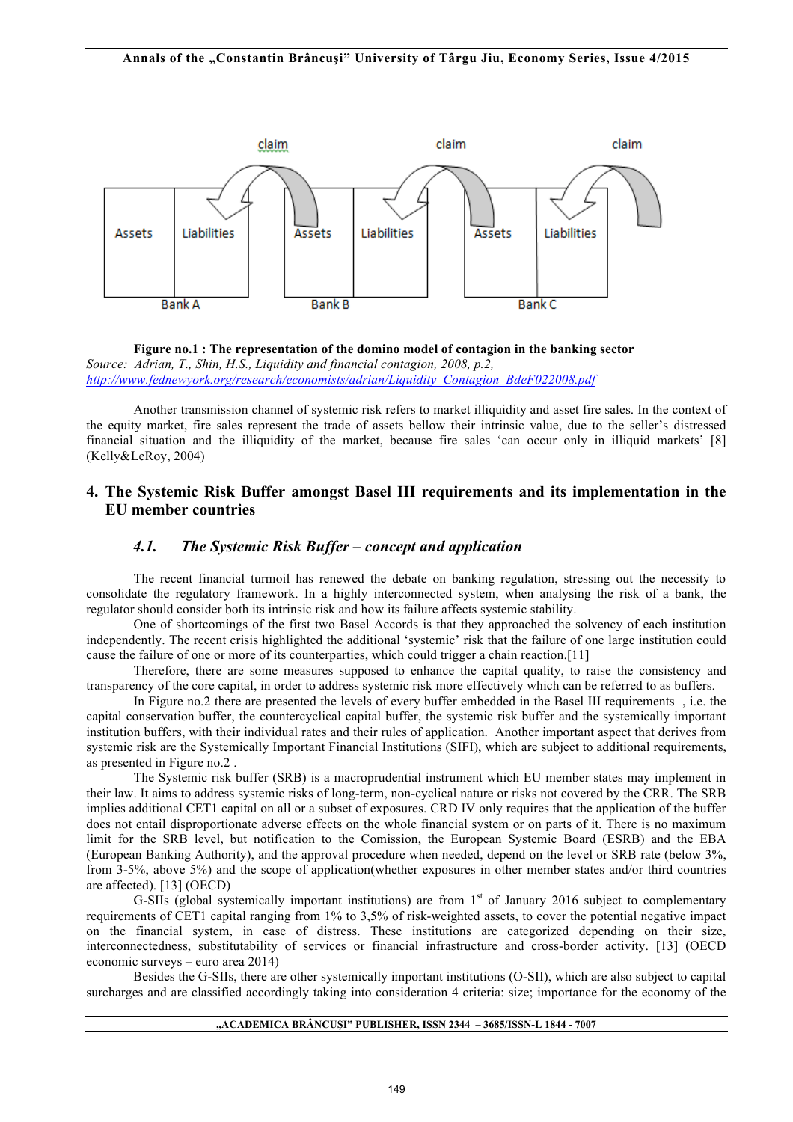

**Figure no.1 : The representation of the domino model of contagion in the banking sector** *Source: Adrian, T., Shin, H.S., Liquidity and financial contagion, 2008, p.2, http://www.fednewyork.org/research/economists/adrian/Liquidity\_Contagion\_BdeF022008.pdf*

Another transmission channel of systemic risk refers to market illiquidity and asset fire sales. In the context of the equity market, fire sales represent the trade of assets bellow their intrinsic value, due to the seller's distressed financial situation and the illiquidity of the market, because fire sales 'can occur only in illiquid markets' [8] (Kelly&LeRoy, 2004)

## **4. The Systemic Risk Buffer amongst Basel III requirements and its implementation in the EU member countries**

## *4.1. The Systemic Risk Buffer – concept and application*

The recent financial turmoil has renewed the debate on banking regulation, stressing out the necessity to consolidate the regulatory framework. In a highly interconnected system, when analysing the risk of a bank, the regulator should consider both its intrinsic risk and how its failure affects systemic stability.

One of shortcomings of the first two Basel Accords is that they approached the solvency of each institution independently. The recent crisis highlighted the additional 'systemic' risk that the failure of one large institution could cause the failure of one or more of its counterparties, which could trigger a chain reaction.[11]

Therefore, there are some measures supposed to enhance the capital quality, to raise the consistency and transparency of the core capital, in order to address systemic risk more effectively which can be referred to as buffers.

 In Figure no.2 there are presented the levels of every buffer embedded in the Basel III requirements , i.e. the capital conservation buffer, the countercyclical capital buffer, the systemic risk buffer and the systemically important institution buffers, with their individual rates and their rules of application. Another important aspect that derives from systemic risk are the Systemically Important Financial Institutions (SIFI), which are subject to additional requirements, as presented in Figure no.2 .

 The Systemic risk buffer (SRB) is a macroprudential instrument which EU member states may implement in their law. It aims to address systemic risks of long-term, non-cyclical nature or risks not covered by the CRR. The SRB implies additional CET1 capital on all or a subset of exposures. CRD IV only requires that the application of the buffer does not entail disproportionate adverse effects on the whole financial system or on parts of it. There is no maximum limit for the SRB level, but notification to the Comission, the European Systemic Board (ESRB) and the EBA (European Banking Authority), and the approval procedure when needed, depend on the level or SRB rate (below 3%, from 3-5%, above 5%) and the scope of application(whether exposures in other member states and/or third countries are affected). [13] (OECD)

G-SIIs (global systemically important institutions) are from  $1<sup>st</sup>$  of January 2016 subject to complementary requirements of CET1 capital ranging from 1% to 3,5% of risk-weighted assets, to cover the potential negative impact on the financial system, in case of distress. These institutions are categorized depending on their size, interconnectedness, substitutability of services or financial infrastructure and cross-border activity. [13] (OECD economic surveys – euro area 2014)

Besides the G-SIIs, there are other systemically important institutions (O-SII), which are also subject to capital surcharges and are classified accordingly taking into consideration 4 criteria: size; importance for the economy of the

#### **"ACADEMICA BRÂNCUŞI" PUBLISHER, ISSN 2344 – 3685/ISSN-L 1844 - 7007**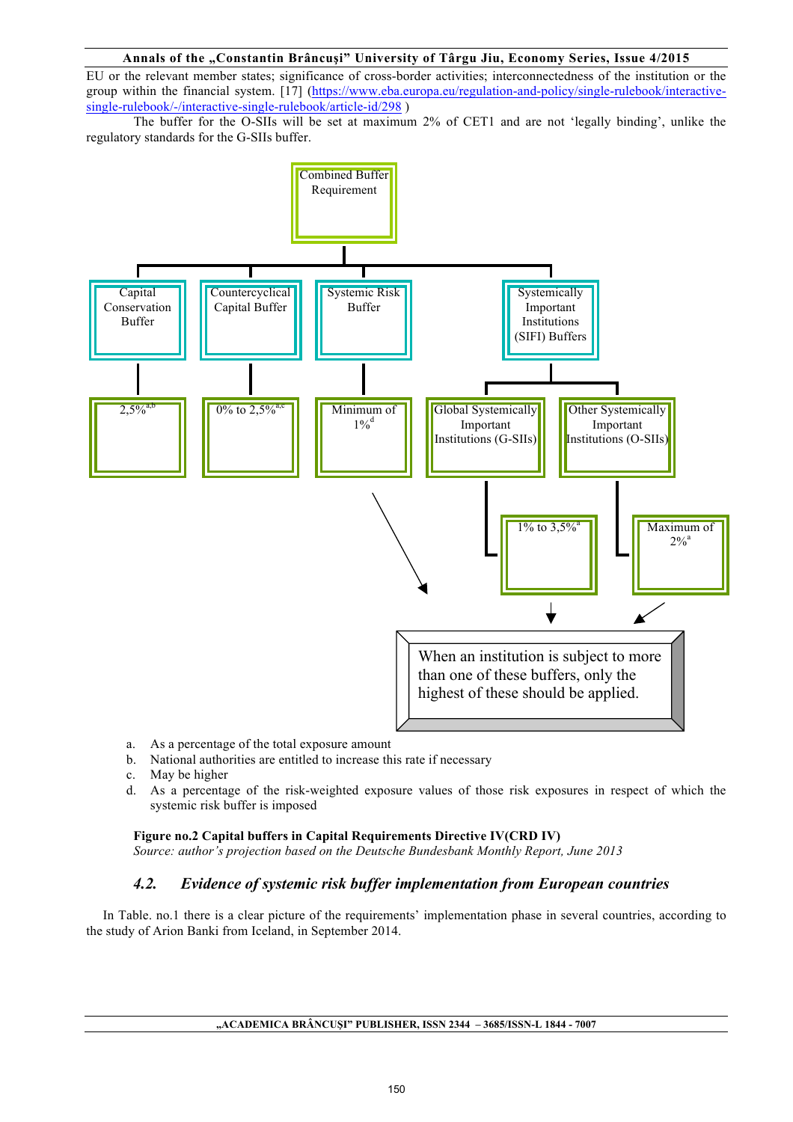#### **Annals of the "Constantin Brâncuşi" University of Târgu Jiu, Economy Series, Issue 4/2015**

EU or the relevant member states; significance of cross-border activities; interconnectedness of the institution or the group within the financial system. [17] (https://www.eba.europa.eu/regulation-and-policy/single-rulebook/interactivesingle-rulebook/-/interactive-single-rulebook/article-id/298 )

The buffer for the O-SIIs will be set at maximum 2% of CET1 and are not 'legally binding', unlike the regulatory standards for the G-SIIs buffer.



- a. As a percentage of the total exposure amount
- b. National authorities are entitled to increase this rate if necessary
- c. May be higher
- d. As a percentage of the risk-weighted exposure values of those risk exposures in respect of which the systemic risk buffer is imposed

#### **Figure no.2 Capital buffers in Capital Requirements Directive IV(CRD IV)**

*Source: author's projection based on the Deutsche Bundesbank Monthly Report, June 2013*

# *4.2. Evidence of systemic risk buffer implementation from European countries*

 In Table. no.1 there is a clear picture of the requirements' implementation phase in several countries, according to the study of Arion Banki from Iceland, in September 2014.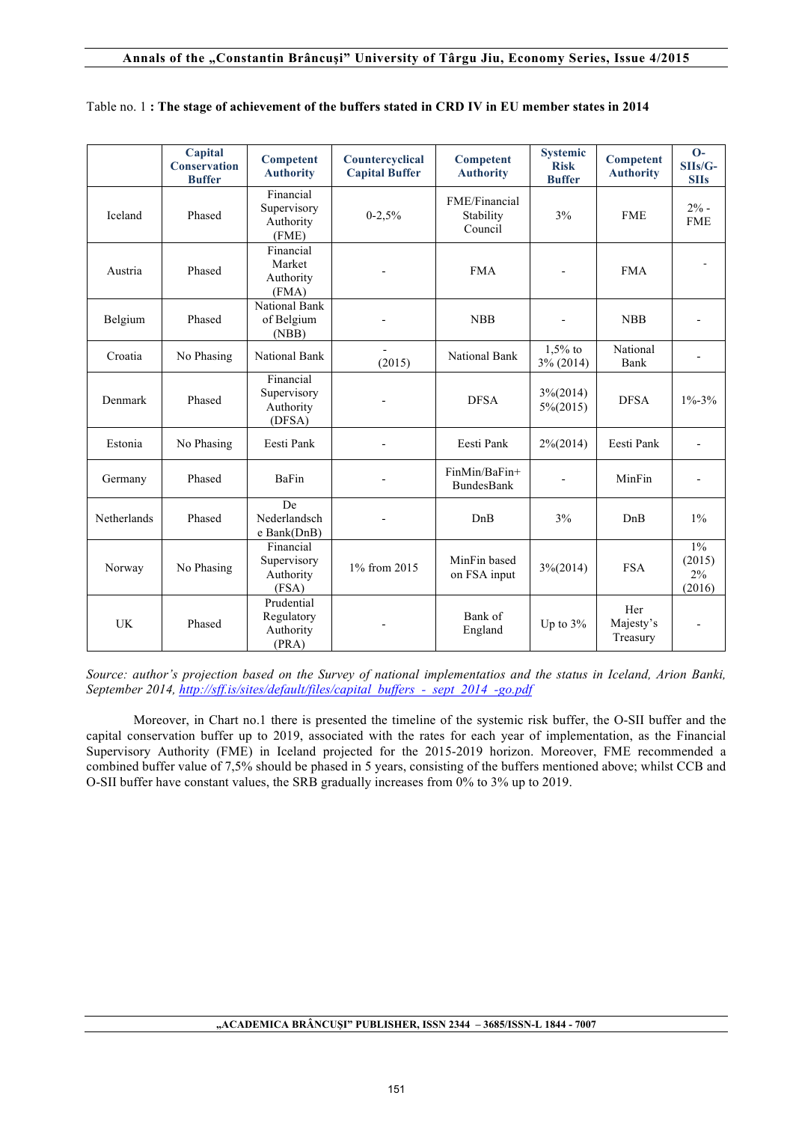|             | Capital<br><b>Conservation</b><br><b>Buffer</b> | <b>Competent</b><br><b>Authority</b>            | Countercyclical<br><b>Capital Buffer</b> | <b>Competent</b><br><b>Authority</b>  | <b>Systemic</b><br><b>Risk</b><br><b>Buffer</b> | <b>Competent</b><br><b>Authority</b> | $O-$<br>$SIIs/G-$<br><b>SIIs</b> |
|-------------|-------------------------------------------------|-------------------------------------------------|------------------------------------------|---------------------------------------|-------------------------------------------------|--------------------------------------|----------------------------------|
| Iceland     | Phased                                          | Financial<br>Supervisory<br>Authority<br>(FME)  | $0-2,5%$                                 | FME/Financial<br>Stability<br>Council | 3%                                              | <b>FME</b>                           | $2% -$<br><b>FME</b>             |
| Austria     | Phased                                          | Financial<br>Market<br>Authority<br>(FMA)       |                                          | <b>FMA</b>                            |                                                 | <b>FMA</b>                           |                                  |
| Belgium     | Phased                                          | <b>National Bank</b><br>of Belgium<br>(NBB)     |                                          | <b>NBB</b>                            |                                                 | <b>NBB</b>                           |                                  |
| Croatia     | No Phasing                                      | National Bank                                   | (2015)                                   | <b>National Bank</b>                  | $1,5%$ to<br>3% (2014)                          | National<br>Bank                     |                                  |
| Denmark     | Phased                                          | Financial<br>Supervisory<br>Authority<br>(DFSA) |                                          | <b>DFSA</b>                           | $3\frac{6}{2014}$<br>$5\% (2015)$               | <b>DFSA</b>                          | $1\% - 3\%$                      |
| Estonia     | No Phasing                                      | Eesti Pank                                      |                                          | Eesti Pank                            | $2\frac{6}{2014}$                               | Eesti Pank                           | $\blacksquare$                   |
| Germany     | Phased                                          | BaFin                                           |                                          | FinMin/BaFin+<br><b>BundesBank</b>    |                                                 | MinFin                               |                                  |
| Netherlands | Phased                                          | De<br>Nederlandsch<br>e Bank(DnB)               |                                          | DnB                                   | 3%                                              | DnB                                  | $1\%$                            |
| Norway      | No Phasing                                      | Financial<br>Supervisory<br>Authority<br>(FSA)  | 1% from 2015                             | MinFin based<br>on FSA input          | $3\frac{6}{2014}$                               | <b>FSA</b>                           | $1\%$<br>(2015)<br>2%<br>(2016)  |
| UK          | Phased                                          | Prudential<br>Regulatory<br>Authority<br>(PRA)  |                                          | Bank of<br>England                    | Up to $3\%$                                     | Her<br>Majesty's<br>Treasury         |                                  |

## Table no. 1 **: The stage of achievement of the buffers stated in CRD IV in EU member states in 2014**

*Source: author's projection based on the Survey of national implementatios and the status in Iceland, Arion Banki, September 2014, http://sff.is/sites/default/files/capital\_buffers\_-\_sept\_2014\_-go.pdf*

Moreover, in Chart no.1 there is presented the timeline of the systemic risk buffer, the O-SII buffer and the capital conservation buffer up to 2019, associated with the rates for each year of implementation, as the Financial Supervisory Authority (FME) in Iceland projected for the 2015-2019 horizon. Moreover, FME recommended a combined buffer value of 7,5% should be phased in 5 years, consisting of the buffers mentioned above; whilst CCB and O-SII buffer have constant values, the SRB gradually increases from 0% to 3% up to 2019.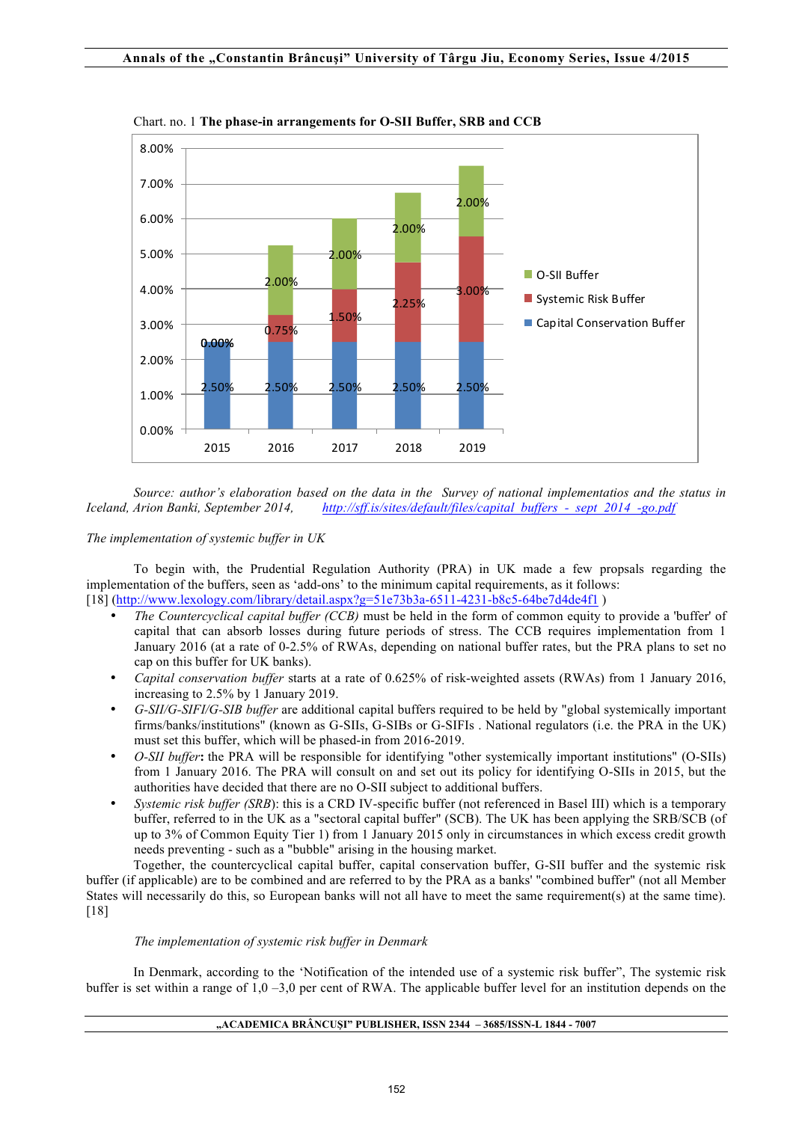

Chart. no. 1 **The phase-in arrangements for O-SII Buffer, SRB and CCB**

*Source: author's elaboration based on the data in the Survey of national implementatios and the status in Iceland, Arion Banki, September 2014, http://sff.is/sites/default/files/capital\_buffers\_-\_sept\_2014\_-go.pdf*

## *The implementation of systemic buffer in UK*

To begin with, the Prudential Regulation Authority (PRA) in UK made a few propsals regarding the implementation of the buffers, seen as 'add-ons' to the minimum capital requirements, as it follows: [18] (http://www.lexology.com/library/detail.aspx?g=51e73b3a-6511-4231-b8c5-64be7d4de4f1 )

- *The Countercyclical capital buffer (CCB)* must be held in the form of common equity to provide a 'buffer' of capital that can absorb losses during future periods of stress. The CCB requires implementation from 1 January 2016 (at a rate of 0-2.5% of RWAs, depending on national buffer rates, but the PRA plans to set no cap on this buffer for UK banks).
- *Capital conservation buffer* starts at a rate of 0.625% of risk-weighted assets (RWAs) from 1 January 2016, increasing to 2.5% by 1 January 2019.
- *G-SII/G-SIFI/G-SIB buffer* are additional capital buffers required to be held by "global systemically important firms/banks/institutions" (known as G-SIIs, G-SIBs or G-SIFIs . National regulators (i.e. the PRA in the UK) must set this buffer, which will be phased-in from 2016-2019.
- *O-SII buffer***:** the PRA will be responsible for identifying "other systemically important institutions" (O-SIIs) from 1 January 2016. The PRA will consult on and set out its policy for identifying O-SIIs in 2015, but the authorities have decided that there are no O-SII subject to additional buffers.
- *Systemic risk buffer (SRB*): this is a CRD IV-specific buffer (not referenced in Basel III) which is a temporary buffer, referred to in the UK as a "sectoral capital buffer" (SCB). The UK has been applying the SRB/SCB (of up to 3% of Common Equity Tier 1) from 1 January 2015 only in circumstances in which excess credit growth needs preventing - such as a "bubble" arising in the housing market.

Together, the countercyclical capital buffer, capital conservation buffer, G-SII buffer and the systemic risk buffer (if applicable) are to be combined and are referred to by the PRA as a banks' "combined buffer" (not all Member States will necessarily do this, so European banks will not all have to meet the same requirement(s) at the same time). [18]

## *The implementation of systemic risk buffer in Denmark*

In Denmark, according to the 'Notification of the intended use of a systemic risk buffer", The systemic risk buffer is set within a range of  $1.0 - 3.0$  per cent of RWA. The applicable buffer level for an institution depends on the

#### **"ACADEMICA BRÂNCUŞI" PUBLISHER, ISSN 2344 – 3685/ISSN-L 1844 - 7007**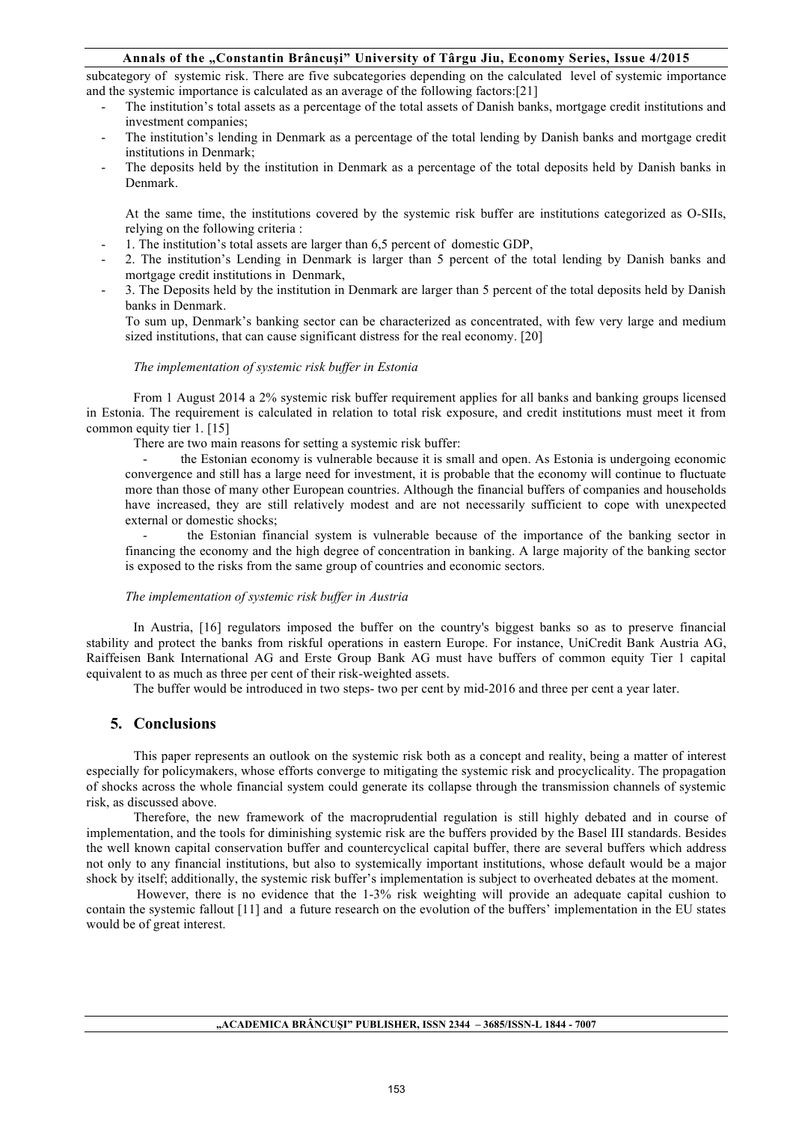## **Annals of the "Constantin Brâncuşi" University of Târgu Jiu, Economy Series, Issue 4/2015**

subcategory of systemic risk. There are five subcategories depending on the calculated level of systemic importance and the systemic importance is calculated as an average of the following factors:[21]

- The institution's total assets as a percentage of the total assets of Danish banks, mortgage credit institutions and investment companies;
- The institution's lending in Denmark as a percentage of the total lending by Danish banks and mortgage credit institutions in Denmark;
- The deposits held by the institution in Denmark as a percentage of the total deposits held by Danish banks in Denmark.

At the same time, the institutions covered by the systemic risk buffer are institutions categorized as O-SIIs, relying on the following criteria :

- 1. The institution's total assets are larger than 6,5 percent of domestic GDP,
- 2. The institution's Lending in Denmark is larger than 5 percent of the total lending by Danish banks and mortgage credit institutions in Denmark,
- 3. The Deposits held by the institution in Denmark are larger than 5 percent of the total deposits held by Danish banks in Denmark.

To sum up, Denmark's banking sector can be characterized as concentrated, with few very large and medium sized institutions, that can cause significant distress for the real economy. [20]

#### *The implementation of systemic risk buffer in Estonia*

From 1 August 2014 a 2% systemic risk buffer requirement applies for all banks and banking groups licensed in Estonia. The requirement is calculated in relation to total risk exposure, and credit institutions must meet it from common equity tier 1. [15]

There are two main reasons for setting a systemic risk buffer:

the Estonian economy is vulnerable because it is small and open. As Estonia is undergoing economic convergence and still has a large need for investment, it is probable that the economy will continue to fluctuate more than those of many other European countries. Although the financial buffers of companies and households have increased, they are still relatively modest and are not necessarily sufficient to cope with unexpected external or domestic shocks;

- the Estonian financial system is vulnerable because of the importance of the banking sector in financing the economy and the high degree of concentration in banking. A large majority of the banking sector is exposed to the risks from the same group of countries and economic sectors.

#### *The implementation of systemic risk buffer in Austria*

In Austria, [16] regulators imposed the buffer on the country's biggest banks so as to preserve financial stability and protect the banks from riskful operations in eastern Europe. For instance, UniCredit Bank Austria AG, Raiffeisen Bank International AG and Erste Group Bank AG must have buffers of common equity Tier 1 capital equivalent to as much as three per cent of their risk-weighted assets.

The buffer would be introduced in two steps- two per cent by mid-2016 and three per cent a year later.

## **5. Conclusions**

This paper represents an outlook on the systemic risk both as a concept and reality, being a matter of interest especially for policymakers, whose efforts converge to mitigating the systemic risk and procyclicality. The propagation of shocks across the whole financial system could generate its collapse through the transmission channels of systemic risk, as discussed above.

Therefore, the new framework of the macroprudential regulation is still highly debated and in course of implementation, and the tools for diminishing systemic risk are the buffers provided by the Basel III standards. Besides the well known capital conservation buffer and countercyclical capital buffer, there are several buffers which address not only to any financial institutions, but also to systemically important institutions, whose default would be a major shock by itself; additionally, the systemic risk buffer's implementation is subject to overheated debates at the moment.

 However, there is no evidence that the 1-3% risk weighting will provide an adequate capital cushion to contain the systemic fallout [11] and a future research on the evolution of the buffers' implementation in the EU states would be of great interest.